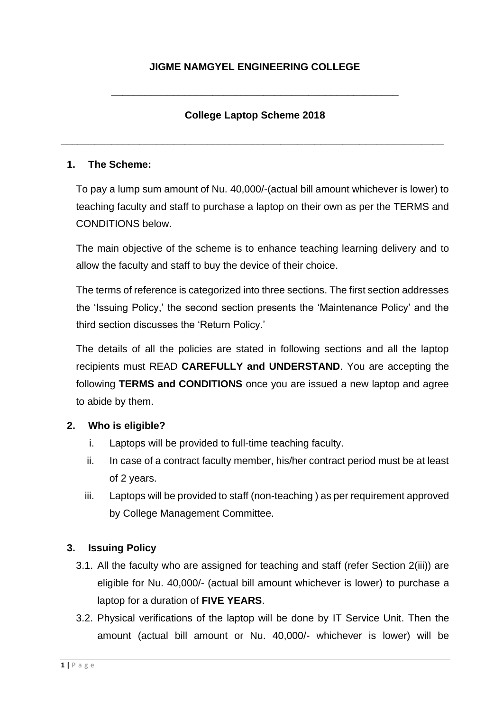**\_\_\_\_\_\_\_\_\_\_\_\_\_\_\_\_\_\_\_\_\_\_\_\_\_\_\_\_\_\_\_\_\_\_\_\_\_\_\_\_\_\_\_\_\_\_\_\_\_\_\_**

# **College Laptop Scheme 2018**

**\_\_\_\_\_\_\_\_\_\_\_\_\_\_\_\_\_\_\_\_\_\_\_\_\_\_\_\_\_\_\_\_\_\_\_\_\_\_\_\_\_\_\_\_\_\_\_\_\_\_\_\_\_\_\_\_\_\_\_\_\_\_\_\_\_\_\_\_**

#### **1. The Scheme:**

To pay a lump sum amount of Nu. 40,000/-(actual bill amount whichever is lower) to teaching faculty and staff to purchase a laptop on their own as per the TERMS and CONDITIONS below.

The main objective of the scheme is to enhance teaching learning delivery and to allow the faculty and staff to buy the device of their choice.

The terms of reference is categorized into three sections. The first section addresses the 'Issuing Policy,' the second section presents the 'Maintenance Policy' and the third section discusses the 'Return Policy.'

The details of all the policies are stated in following sections and all the laptop recipients must READ **CAREFULLY and UNDERSTAND**. You are accepting the following **TERMS and CONDITIONS** once you are issued a new laptop and agree to abide by them.

#### **2. Who is eligible?**

- i. Laptops will be provided to full-time teaching faculty.
- ii. In case of a contract faculty member, his/her contract period must be at least of 2 years.
- iii. Laptops will be provided to staff (non-teaching ) as per requirement approved by College Management Committee.

#### **3. Issuing Policy**

- 3.1. All the faculty who are assigned for teaching and staff (refer Section 2(iii)) are eligible for Nu. 40,000/- (actual bill amount whichever is lower) to purchase a laptop for a duration of **FIVE YEARS**.
- 3.2. Physical verifications of the laptop will be done by IT Service Unit. Then the amount (actual bill amount or Nu. 40,000/- whichever is lower) will be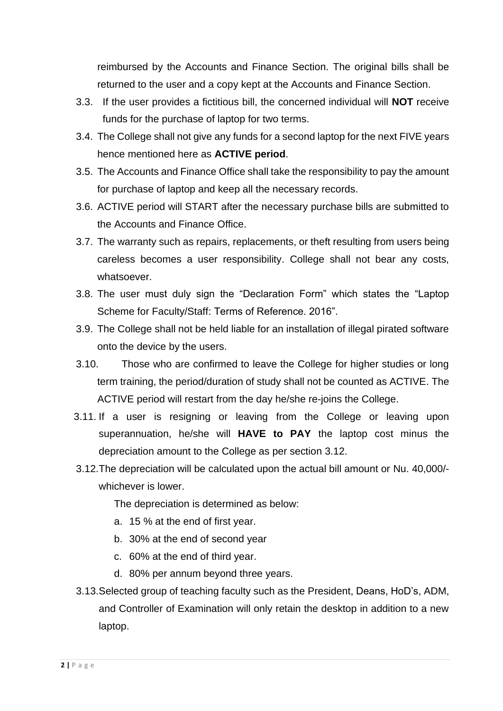reimbursed by the Accounts and Finance Section. The original bills shall be returned to the user and a copy kept at the Accounts and Finance Section.

- 3.3. If the user provides a fictitious bill, the concerned individual will **NOT** receive funds for the purchase of laptop for two terms.
- 3.4. The College shall not give any funds for a second laptop for the next FIVE years hence mentioned here as **ACTIVE period**.
- 3.5. The Accounts and Finance Office shall take the responsibility to pay the amount for purchase of laptop and keep all the necessary records.
- 3.6. ACTIVE period will START after the necessary purchase bills are submitted to the Accounts and Finance Office.
- 3.7. The warranty such as repairs, replacements, or theft resulting from users being careless becomes a user responsibility. College shall not bear any costs, whatsoever.
- 3.8. The user must duly sign the "Declaration Form" which states the "Laptop Scheme for Faculty/Staff: Terms of Reference. 2016".
- 3.9. The College shall not be held liable for an installation of illegal pirated software onto the device by the users.
- 3.10. Those who are confirmed to leave the College for higher studies or long term training, the period/duration of study shall not be counted as ACTIVE. The ACTIVE period will restart from the day he/she re-joins the College.
- 3.11. If a user is resigning or leaving from the College or leaving upon superannuation, he/she will **HAVE to PAY** the laptop cost minus the depreciation amount to the College as per section 3.12.
- 3.12.The depreciation will be calculated upon the actual bill amount or Nu. 40,000/ whichever is lower.

The depreciation is determined as below:

- a. 15 % at the end of first year.
- b. 30% at the end of second year
- c. 60% at the end of third year.
- d. 80% per annum beyond three years.
- 3.13.Selected group of teaching faculty such as the President, Deans, HoD's, ADM, and Controller of Examination will only retain the desktop in addition to a new laptop.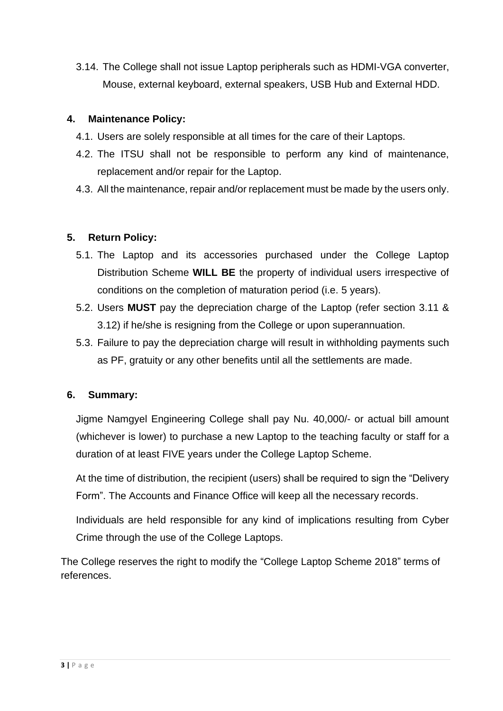3.14. The College shall not issue Laptop peripherals such as HDMI-VGA converter, Mouse, external keyboard, external speakers, USB Hub and External HDD.

### **4. Maintenance Policy:**

- 4.1. Users are solely responsible at all times for the care of their Laptops.
- 4.2. The ITSU shall not be responsible to perform any kind of maintenance, replacement and/or repair for the Laptop.
- 4.3. All the maintenance, repair and/or replacement must be made by the users only.

# **5. Return Policy:**

- 5.1. The Laptop and its accessories purchased under the College Laptop Distribution Scheme **WILL BE** the property of individual users irrespective of conditions on the completion of maturation period (i.e. 5 years).
- 5.2. Users **MUST** pay the depreciation charge of the Laptop (refer section 3.11 & 3.12) if he/she is resigning from the College or upon superannuation.
- 5.3. Failure to pay the depreciation charge will result in withholding payments such as PF, gratuity or any other benefits until all the settlements are made.

#### **6. Summary:**

Jigme Namgyel Engineering College shall pay Nu. 40,000/- or actual bill amount (whichever is lower) to purchase a new Laptop to the teaching faculty or staff for a duration of at least FIVE years under the College Laptop Scheme.

At the time of distribution, the recipient (users) shall be required to sign the "Delivery Form". The Accounts and Finance Office will keep all the necessary records.

Individuals are held responsible for any kind of implications resulting from Cyber Crime through the use of the College Laptops.

The College reserves the right to modify the "College Laptop Scheme 2018" terms of references.